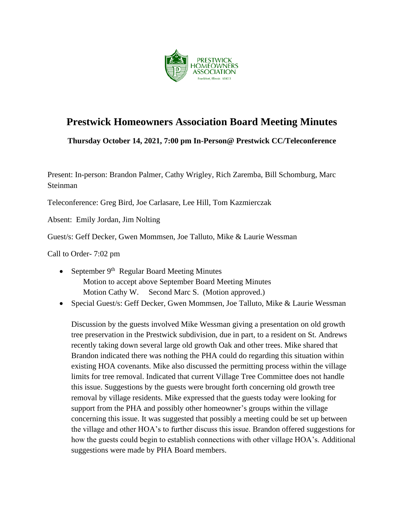

# **Prestwick Homeowners Association Board Meeting Minutes**

**Thursday October 14, 2021, 7:00 pm In-Person@ Prestwick CC/Teleconference**

Present: In-person: Brandon Palmer, Cathy Wrigley, Rich Zaremba, Bill Schomburg, Marc Steinman

Teleconference: Greg Bird, Joe Carlasare, Lee Hill, Tom Kazmierczak

Absent: Emily Jordan, Jim Nolting

Guest/s: Geff Decker, Gwen Mommsen, Joe Talluto, Mike & Laurie Wessman

Call to Order- 7:02 pm

- September  $9<sup>th</sup>$  Regular Board Meeting Minutes Motion to accept above September Board Meeting Minutes Motion Cathy W. Second Marc S. (Motion approved.)
- Special Guest/s: Geff Decker, Gwen Mommsen, Joe Talluto, Mike & Laurie Wessman

Discussion by the guests involved Mike Wessman giving a presentation on old growth tree preservation in the Prestwick subdivision, due in part, to a resident on St. Andrews recently taking down several large old growth Oak and other trees. Mike shared that Brandon indicated there was nothing the PHA could do regarding this situation within existing HOA covenants. Mike also discussed the permitting process within the village limits for tree removal. Indicated that current Village Tree Committee does not handle this issue. Suggestions by the guests were brought forth concerning old growth tree removal by village residents. Mike expressed that the guests today were looking for support from the PHA and possibly other homeowner's groups within the village concerning this issue. It was suggested that possibly a meeting could be set up between the village and other HOA's to further discuss this issue. Brandon offered suggestions for how the guests could begin to establish connections with other village HOA's. Additional suggestions were made by PHA Board members.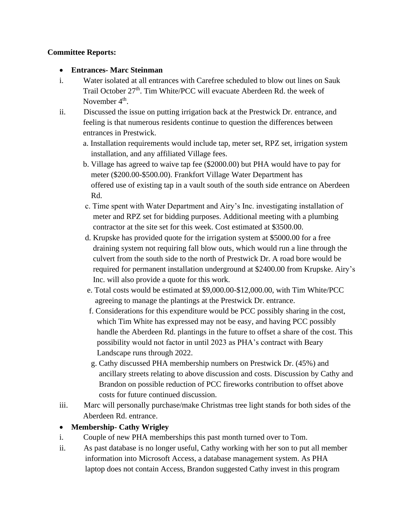#### **Committee Reports:**

#### • **Entrances- Marc Steinman**

- i. Water isolated at all entrances with Carefree scheduled to blow out lines on Sauk Trail October 27<sup>th</sup>. Tim White/PCC will evacuate Aberdeen Rd. the week of November 4<sup>th</sup>.
- ii. Discussed the issue on putting irrigation back at the Prestwick Dr. entrance, and feeling is that numerous residents continue to question the differences between entrances in Prestwick.
	- a. Installation requirements would include tap, meter set, RPZ set, irrigation system installation, and any affiliated Village fees.
	- b. Village has agreed to waive tap fee (\$2000.00) but PHA would have to pay for meter (\$200.00-\$500.00). Frankfort Village Water Department has offered use of existing tap in a vault south of the south side entrance on Aberdeen Rd.
	- c. Time spent with Water Department and Airy's Inc. investigating installation of meter and RPZ set for bidding purposes. Additional meeting with a plumbing contractor at the site set for this week. Cost estimated at \$3500.00.
	- d. Krupske has provided quote for the irrigation system at \$5000.00 for a free draining system not requiring fall blow outs, which would run a line through the culvert from the south side to the north of Prestwick Dr. A road bore would be required for permanent installation underground at \$2400.00 from Krupske. Airy's Inc. will also provide a quote for this work.
	- e. Total costs would be estimated at \$9,000.00-\$12,000.00, with Tim White/PCC agreeing to manage the plantings at the Prestwick Dr. entrance.
	- f. Considerations for this expenditure would be PCC possibly sharing in the cost, which Tim White has expressed may not be easy, and having PCC possibly handle the Aberdeen Rd. plantings in the future to offset a share of the cost. This possibility would not factor in until 2023 as PHA's contract with Beary Landscape runs through 2022.
	- g. Cathy discussed PHA membership numbers on Prestwick Dr. (45%) and ancillary streets relating to above discussion and costs. Discussion by Cathy and Brandon on possible reduction of PCC fireworks contribution to offset above costs for future continued discussion.
- iii. Marc will personally purchase/make Christmas tree light stands for both sides of the Aberdeen Rd. entrance.

## • **Membership- Cathy Wrigley**

- i. Couple of new PHA memberships this past month turned over to Tom.
- ii. As past database is no longer useful, Cathy working with her son to put all member information into Microsoft Access, a database management system. As PHA laptop does not contain Access, Brandon suggested Cathy invest in this program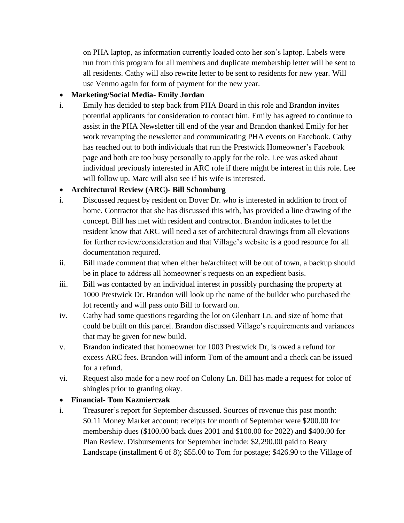on PHA laptop, as information currently loaded onto her son's laptop. Labels were run from this program for all members and duplicate membership letter will be sent to all residents. Cathy will also rewrite letter to be sent to residents for new year. Will use Venmo again for form of payment for the new year.

## • **Marketing/Social Media- Emily Jordan**

i. Emily has decided to step back from PHA Board in this role and Brandon invites potential applicants for consideration to contact him. Emily has agreed to continue to assist in the PHA Newsletter till end of the year and Brandon thanked Emily for her work revamping the newsletter and communicating PHA events on Facebook. Cathy has reached out to both individuals that run the Prestwick Homeowner's Facebook page and both are too busy personally to apply for the role. Lee was asked about individual previously interested in ARC role if there might be interest in this role. Lee will follow up. Marc will also see if his wife is interested.

## • **Architectural Review (ARC)- Bill Schomburg**

- i. Discussed request by resident on Dover Dr. who is interested in addition to front of home. Contractor that she has discussed this with, has provided a line drawing of the concept. Bill has met with resident and contractor. Brandon indicates to let the resident know that ARC will need a set of architectural drawings from all elevations for further review/consideration and that Village's website is a good resource for all documentation required.
- ii. Bill made comment that when either he/architect will be out of town, a backup should be in place to address all homeowner's requests on an expedient basis.
- iii. Bill was contacted by an individual interest in possibly purchasing the property at 1000 Prestwick Dr. Brandon will look up the name of the builder who purchased the lot recently and will pass onto Bill to forward on.
- iv. Cathy had some questions regarding the lot on Glenbarr Ln. and size of home that could be built on this parcel. Brandon discussed Village's requirements and variances that may be given for new build.
- v. Brandon indicated that homeowner for 1003 Prestwick Dr, is owed a refund for excess ARC fees. Brandon will inform Tom of the amount and a check can be issued for a refund.
- vi. Request also made for a new roof on Colony Ln. Bill has made a request for color of shingles prior to granting okay.

#### • **Financial- Tom Kazmierczak**

i. Treasurer's report for September discussed. Sources of revenue this past month: \$0.11 Money Market account; receipts for month of September were \$200.00 for membership dues (\$100.00 back dues 2001 and \$100.00 for 2022) and \$400.00 for Plan Review. Disbursements for September include: \$2,290.00 paid to Beary Landscape (installment 6 of 8); \$55.00 to Tom for postage; \$426.90 to the Village of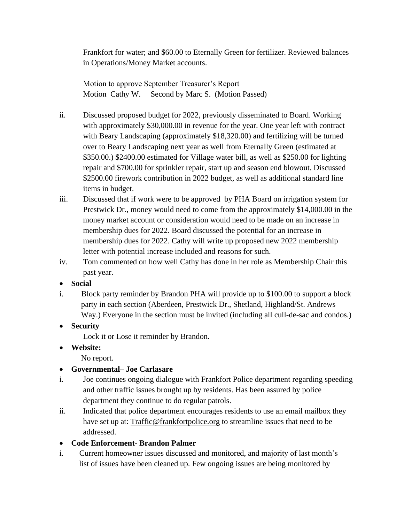Frankfort for water; and \$60.00 to Eternally Green for fertilizer. Reviewed balances in Operations/Money Market accounts.

Motion to approve September Treasurer's Report Motion Cathy W. Second by Marc S. (Motion Passed)

- ii. Discussed proposed budget for 2022, previously disseminated to Board. Working with approximately \$30,000.00 in revenue for the year. One year left with contract with Beary Landscaping (approximately \$18,320.00) and fertilizing will be turned over to Beary Landscaping next year as well from Eternally Green (estimated at \$350.00.) \$2400.00 estimated for Village water bill, as well as \$250.00 for lighting repair and \$700.00 for sprinkler repair, start up and season end blowout. Discussed \$2500.00 firework contribution in 2022 budget, as well as additional standard line items in budget.
- iii. Discussed that if work were to be approved by PHA Board on irrigation system for Prestwick Dr., money would need to come from the approximately \$14,000.00 in the money market account or consideration would need to be made on an increase in membership dues for 2022. Board discussed the potential for an increase in membership dues for 2022. Cathy will write up proposed new 2022 membership letter with potential increase included and reasons for such.
- iv. Tom commented on how well Cathy has done in her role as Membership Chair this past year.

## • **Social**

- i. Block party reminder by Brandon PHA will provide up to \$100.00 to support a block party in each section (Aberdeen, Prestwick Dr., Shetland, Highland/St. Andrews Way.) Everyone in the section must be invited (including all cull-de-sac and condos.)
- **Security**

Lock it or Lose it reminder by Brandon.

• **Website:**

No report.

# • **Governmental– Joe Carlasare**

- i. Joe continues ongoing dialogue with Frankfort Police department regarding speeding and other traffic issues brought up by residents. Has been assured by police department they continue to do regular patrols.
- ii. Indicated that police department encourages residents to use an email mailbox they have set up at: [Traffic@frankfortpolice.org](mailto:Traffic@frankfortpolice.org) to streamline issues that need to be addressed.
- **Code Enforcement- Brandon Palmer**
- i.Current homeowner issues discussed and monitored, and majority of last month's list of issues have been cleaned up. Few ongoing issues are being monitored by